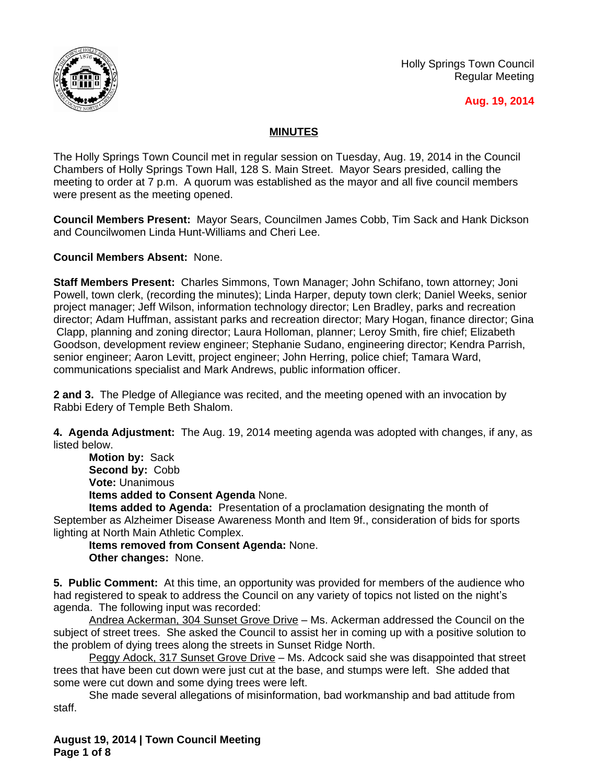

Holly Springs Town Council Regular Meeting

### **Aug. 19, 2014**

## **MINUTES**

The Holly Springs Town Council met in regular session on Tuesday, Aug. 19, 2014 in the Council Chambers of Holly Springs Town Hall, 128 S. Main Street. Mayor Sears presided, calling the meeting to order at 7 p.m. A quorum was established as the mayor and all five council members were present as the meeting opened.

**Council Members Present:** Mayor Sears, Councilmen James Cobb, Tim Sack and Hank Dickson and Councilwomen Linda Hunt-Williams and Cheri Lee.

**Council Members Absent:** None.

**Staff Members Present:** Charles Simmons, Town Manager; John Schifano, town attorney; Joni Powell, town clerk, (recording the minutes); Linda Harper, deputy town clerk; Daniel Weeks, senior project manager; Jeff Wilson, information technology director; Len Bradley, parks and recreation director; Adam Huffman, assistant parks and recreation director; Mary Hogan, finance director; Gina Clapp, planning and zoning director; Laura Holloman, planner; Leroy Smith, fire chief; Elizabeth Goodson, development review engineer; Stephanie Sudano, engineering director; Kendra Parrish, senior engineer; Aaron Levitt, project engineer; John Herring, police chief; Tamara Ward, communications specialist and Mark Andrews, public information officer.

**2 and 3.** The Pledge of Allegiance was recited, and the meeting opened with an invocation by Rabbi Edery of Temple Beth Shalom.

**4. Agenda Adjustment:** The Aug. 19, 2014 meeting agenda was adopted with changes, if any, as listed below.

**Motion by:** Sack **Second by:** Cobb **Vote:** Unanimous **Items added to Consent Agenda** None.

**Items added to Agenda:** Presentation of a proclamation designating the month of September as Alzheimer Disease Awareness Month and Item 9f., consideration of bids for sports lighting at North Main Athletic Complex.

**Items removed from Consent Agenda:** None. **Other changes:** None.

**5. Public Comment:** At this time, an opportunity was provided for members of the audience who had registered to speak to address the Council on any variety of topics not listed on the night's agenda. The following input was recorded:

Andrea Ackerman, 304 Sunset Grove Drive - Ms. Ackerman addressed the Council on the subject of street trees. She asked the Council to assist her in coming up with a positive solution to the problem of dying trees along the streets in Sunset Ridge North.

Peggy Adock, 317 Sunset Grove Drive – Ms. Adcock said she was disappointed that street trees that have been cut down were just cut at the base, and stumps were left. She added that some were cut down and some dying trees were left.

She made several allegations of misinformation, bad workmanship and bad attitude from staff.

**August 19, 2014 | Town Council Meeting Page 1 of 8**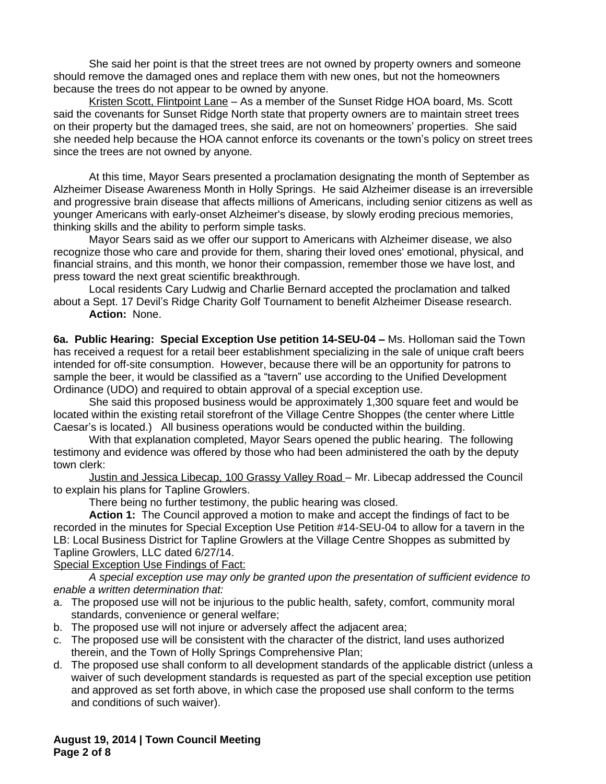She said her point is that the street trees are not owned by property owners and someone should remove the damaged ones and replace them with new ones, but not the homeowners because the trees do not appear to be owned by anyone.

Kristen Scott, Flintpoint Lane – As a member of the Sunset Ridge HOA board, Ms. Scott said the covenants for Sunset Ridge North state that property owners are to maintain street trees on their property but the damaged trees, she said, are not on homeowners' properties. She said she needed help because the HOA cannot enforce its covenants or the town's policy on street trees since the trees are not owned by anyone.

At this time, Mayor Sears presented a proclamation designating the month of September as Alzheimer Disease Awareness Month in Holly Springs. He said Alzheimer disease is an irreversible and progressive brain disease that affects millions of Americans, including senior citizens as well as younger Americans with early-onset Alzheimer's disease, by slowly eroding precious memories, thinking skills and the ability to perform simple tasks.

Mayor Sears said as we offer our support to Americans with Alzheimer disease, we also recognize those who care and provide for them, sharing their loved ones' emotional, physical, and financial strains, and this month, we honor their compassion, remember those we have lost, and press toward the next great scientific breakthrough.

Local residents Cary Ludwig and Charlie Bernard accepted the proclamation and talked about a Sept. 17 Devil's Ridge Charity Golf Tournament to benefit Alzheimer Disease research. **Action:** None.

**6a. Public Hearing: Special Exception Use petition 14-SEU-04 –** Ms. Holloman said the Town has received a request for a retail beer establishment specializing in the sale of unique craft beers intended for off-site consumption. However, because there will be an opportunity for patrons to sample the beer, it would be classified as a "tavern" use according to the Unified Development Ordinance (UDO) and required to obtain approval of a special exception use.

She said this proposed business would be approximately 1,300 square feet and would be located within the existing retail storefront of the Village Centre Shoppes (the center where Little Caesar's is located.) All business operations would be conducted within the building.

With that explanation completed, Mayor Sears opened the public hearing. The following testimony and evidence was offered by those who had been administered the oath by the deputy town clerk:

Justin and Jessica Libecap, 100 Grassy Valley Road – Mr. Libecap addressed the Council to explain his plans for Tapline Growlers.

There being no further testimony, the public hearing was closed.

**Action 1:** The Council approved a motion to make and accept the findings of fact to be recorded in the minutes for Special Exception Use Petition #14-SEU-04 to allow for a tavern in the LB: Local Business District for Tapline Growlers at the Village Centre Shoppes as submitted by Tapline Growlers, LLC dated 6/27/14.

#### Special Exception Use Findings of Fact:

*A special exception use may only be granted upon the presentation of sufficient evidence to enable a written determination that:*

- a. The proposed use will not be injurious to the public health, safety, comfort, community moral standards, convenience or general welfare;
- b. The proposed use will not injure or adversely affect the adjacent area;
- c. The proposed use will be consistent with the character of the district, land uses authorized therein, and the Town of Holly Springs Comprehensive Plan;
- d. The proposed use shall conform to all development standards of the applicable district (unless a waiver of such development standards is requested as part of the special exception use petition and approved as set forth above, in which case the proposed use shall conform to the terms and conditions of such waiver).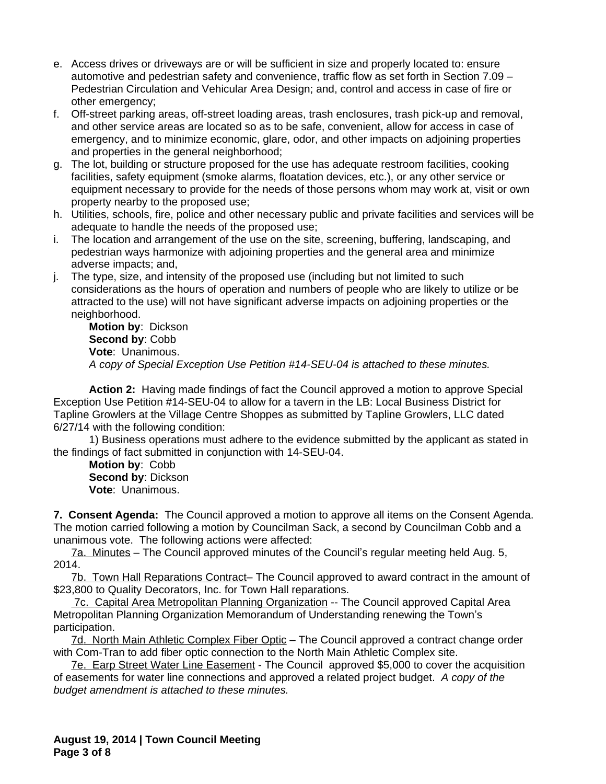- e. Access drives or driveways are or will be sufficient in size and properly located to: ensure automotive and pedestrian safety and convenience, traffic flow as set forth in Section 7.09 – Pedestrian Circulation and Vehicular Area Design; and, control and access in case of fire or other emergency;
- f. Off-street parking areas, off-street loading areas, trash enclosures, trash pick-up and removal, and other service areas are located so as to be safe, convenient, allow for access in case of emergency, and to minimize economic, glare, odor, and other impacts on adjoining properties and properties in the general neighborhood;
- g. The lot, building or structure proposed for the use has adequate restroom facilities, cooking facilities, safety equipment (smoke alarms, floatation devices, etc.), or any other service or equipment necessary to provide for the needs of those persons whom may work at, visit or own property nearby to the proposed use;
- h. Utilities, schools, fire, police and other necessary public and private facilities and services will be adequate to handle the needs of the proposed use;
- i. The location and arrangement of the use on the site, screening, buffering, landscaping, and pedestrian ways harmonize with adjoining properties and the general area and minimize adverse impacts; and,
- j. The type, size, and intensity of the proposed use (including but not limited to such considerations as the hours of operation and numbers of people who are likely to utilize or be attracted to the use) will not have significant adverse impacts on adjoining properties or the neighborhood.

**Motion by**: Dickson **Second by**: Cobb **Vote**: Unanimous. *A copy of Special Exception Use Petition #14-SEU-04 is attached to these minutes.*

**Action 2:** Having made findings of fact the Council approved a motion to approve Special Exception Use Petition #14-SEU-04 to allow for a tavern in the LB: Local Business District for Tapline Growlers at the Village Centre Shoppes as submitted by Tapline Growlers, LLC dated 6/27/14 with the following condition:

1) Business operations must adhere to the evidence submitted by the applicant as stated in the findings of fact submitted in conjunction with 14-SEU-04.

**Motion by**: Cobb **Second by**: Dickson **Vote**: Unanimous.

**7. Consent Agenda:** The Council approved a motion to approve all items on the Consent Agenda. The motion carried following a motion by Councilman Sack, a second by Councilman Cobb and a unanimous vote. The following actions were affected:

7a. Minutes – The Council approved minutes of the Council's regular meeting held Aug. 5, 2014.

7b. Town Hall Reparations Contract– The Council approved to award contract in the amount of \$23,800 to Quality Decorators, Inc. for Town Hall reparations.

7c. Capital Area Metropolitan Planning Organization -- The Council approved Capital Area Metropolitan Planning Organization Memorandum of Understanding renewing the Town's participation.

7d. North Main Athletic Complex Fiber Optic – The Council approved a contract change order with Com-Tran to add fiber optic connection to the North Main Athletic Complex site.

7e. Earp Street Water Line Easement - The Council approved \$5,000 to cover the acquisition of easements for water line connections and approved a related project budget. *A copy of the budget amendment is attached to these minutes.*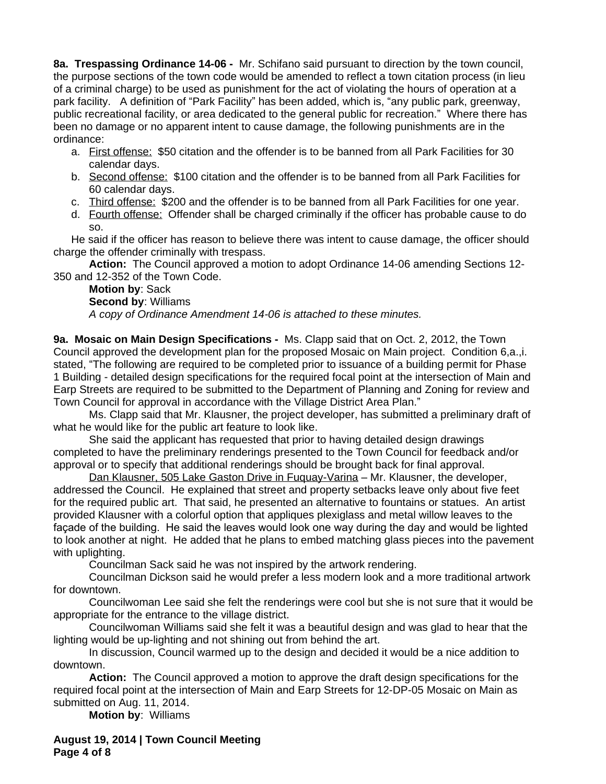**8a. Trespassing Ordinance 14-06 -** Mr. Schifano said pursuant to direction by the town council, the purpose sections of the town code would be amended to reflect a town citation process (in lieu of a criminal charge) to be used as punishment for the act of violating the hours of operation at a park facility. A definition of "Park Facility" has been added, which is, "any public park, greenway, public recreational facility, or area dedicated to the general public for recreation." Where there has been no damage or no apparent intent to cause damage, the following punishments are in the ordinance:

- a. First offense: \$50 citation and the offender is to be banned from all Park Facilities for 30 calendar days.
- b. Second offense: \$100 citation and the offender is to be banned from all Park Facilities for 60 calendar days.
- c. Third offense: \$200 and the offender is to be banned from all Park Facilities for one year.
- d. Fourth offense: Offender shall be charged criminally if the officer has probable cause to do so.

He said if the officer has reason to believe there was intent to cause damage, the officer should charge the offender criminally with trespass.

**Action:** The Council approved a motion to adopt Ordinance 14-06 amending Sections 12- 350 and 12-352 of the Town Code.

**Motion by**: Sack **Second by**: Williams *A copy of Ordinance Amendment 14-06 is attached to these minutes.*

**9a. Mosaic on Main Design Specifications -** Ms. Clapp said that on Oct. 2, 2012, the Town Council approved the development plan for the proposed Mosaic on Main project. Condition 6,a.,i. stated, "The following are required to be completed prior to issuance of a building permit for Phase 1 Building - detailed design specifications for the required focal point at the intersection of Main and Earp Streets are required to be submitted to the Department of Planning and Zoning for review and Town Council for approval in accordance with the Village District Area Plan."

Ms. Clapp said that Mr. Klausner, the project developer, has submitted a preliminary draft of what he would like for the public art feature to look like.

She said the applicant has requested that prior to having detailed design drawings completed to have the preliminary renderings presented to the Town Council for feedback and/or approval or to specify that additional renderings should be brought back for final approval.

Dan Klausner, 505 Lake Gaston Drive in Fuquay-Varina – Mr. Klausner, the developer, addressed the Council. He explained that street and property setbacks leave only about five feet for the required public art. That said, he presented an alternative to fountains or statues. An artist provided Klausner with a colorful option that appliques plexiglass and metal willow leaves to the façade of the building. He said the leaves would look one way during the day and would be lighted to look another at night. He added that he plans to embed matching glass pieces into the pavement with uplighting.

Councilman Sack said he was not inspired by the artwork rendering.

Councilman Dickson said he would prefer a less modern look and a more traditional artwork for downtown.

Councilwoman Lee said she felt the renderings were cool but she is not sure that it would be appropriate for the entrance to the village district.

Councilwoman Williams said she felt it was a beautiful design and was glad to hear that the lighting would be up-lighting and not shining out from behind the art.

In discussion, Council warmed up to the design and decided it would be a nice addition to downtown.

**Action:** The Council approved a motion to approve the draft design specifications for the required focal point at the intersection of Main and Earp Streets for 12-DP-05 Mosaic on Main as submitted on Aug. 11, 2014.

**Motion by**: Williams

**August 19, 2014 | Town Council Meeting Page 4 of 8**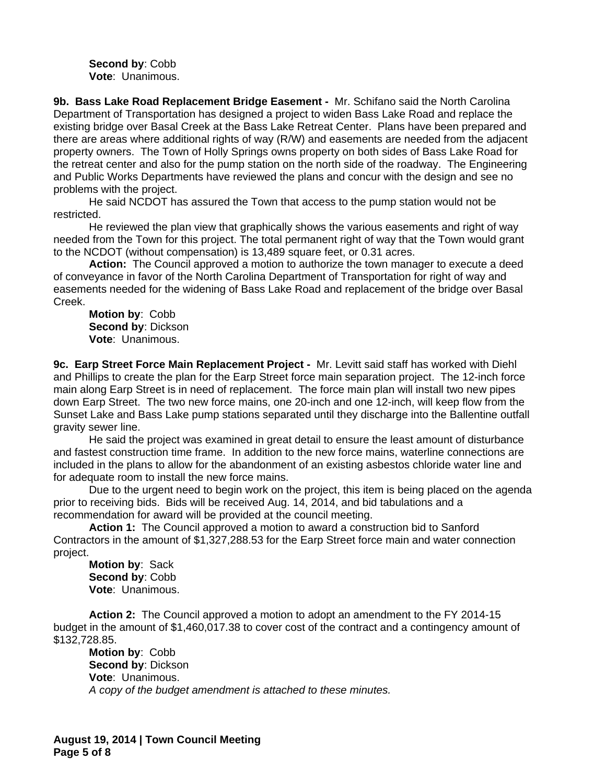**Second by**: Cobb **Vote**: Unanimous.

**9b. Bass Lake Road Replacement Bridge Easement -** Mr. Schifano said the North Carolina Department of Transportation has designed a project to widen Bass Lake Road and replace the existing bridge over Basal Creek at the Bass Lake Retreat Center. Plans have been prepared and there are areas where additional rights of way (R/W) and easements are needed from the adjacent property owners. The Town of Holly Springs owns property on both sides of Bass Lake Road for the retreat center and also for the pump station on the north side of the roadway. The Engineering and Public Works Departments have reviewed the plans and concur with the design and see no problems with the project.

He said NCDOT has assured the Town that access to the pump station would not be restricted.

He reviewed the plan view that graphically shows the various easements and right of way needed from the Town for this project. The total permanent right of way that the Town would grant to the NCDOT (without compensation) is 13,489 square feet, or 0.31 acres.

**Action:** The Council approved a motion to authorize the town manager to execute a deed of conveyance in favor of the North Carolina Department of Transportation for right of way and easements needed for the widening of Bass Lake Road and replacement of the bridge over Basal Creek.

**Motion by**: Cobb **Second by**: Dickson **Vote**: Unanimous.

**9c. Earp Street Force Main Replacement Project -** Mr. Levitt said staff has worked with Diehl and Phillips to create the plan for the Earp Street force main separation project. The 12-inch force main along Earp Street is in need of replacement. The force main plan will install two new pipes down Earp Street. The two new force mains, one 20-inch and one 12-inch, will keep flow from the Sunset Lake and Bass Lake pump stations separated until they discharge into the Ballentine outfall gravity sewer line.

He said the project was examined in great detail to ensure the least amount of disturbance and fastest construction time frame. In addition to the new force mains, waterline connections are included in the plans to allow for the abandonment of an existing asbestos chloride water line and for adequate room to install the new force mains.

Due to the urgent need to begin work on the project, this item is being placed on the agenda prior to receiving bids. Bids will be received Aug. 14, 2014, and bid tabulations and a recommendation for award will be provided at the council meeting.

**Action 1:** The Council approved a motion to award a construction bid to Sanford Contractors in the amount of \$1,327,288.53 for the Earp Street force main and water connection project.

**Motion by**: Sack **Second by**: Cobb **Vote**: Unanimous.

**Action 2:** The Council approved a motion to adopt an amendment to the FY 2014-15 budget in the amount of \$1,460,017.38 to cover cost of the contract and a contingency amount of \$132,728.85.

**Motion by**: Cobb **Second by**: Dickson **Vote**: Unanimous. *A copy of the budget amendment is attached to these minutes.*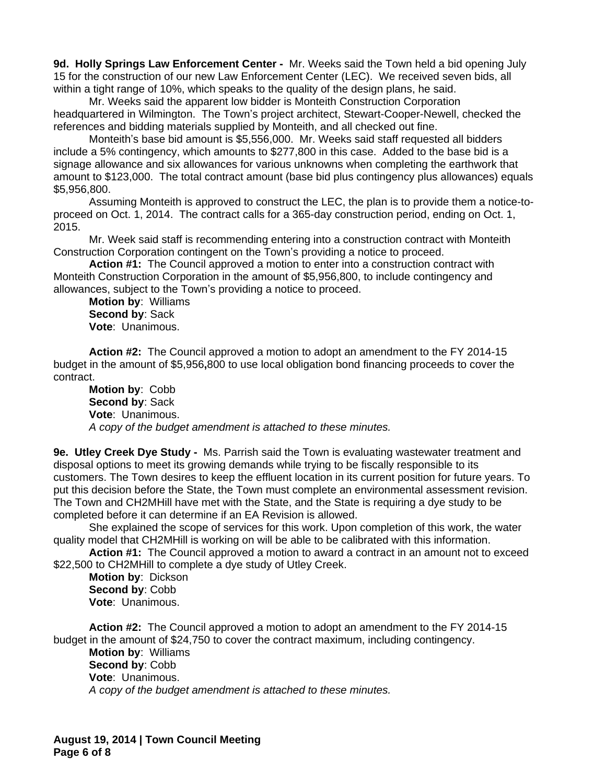**9d. Holly Springs Law Enforcement Center -** Mr. Weeks said the Town held a bid opening July 15 for the construction of our new Law Enforcement Center (LEC). We received seven bids, all within a tight range of 10%, which speaks to the quality of the design plans, he said.

Mr. Weeks said the apparent low bidder is Monteith Construction Corporation headquartered in Wilmington. The Town's project architect, Stewart-Cooper-Newell, checked the references and bidding materials supplied by Monteith, and all checked out fine.

Monteith's base bid amount is \$5,556,000. Mr. Weeks said staff requested all bidders include a 5% contingency, which amounts to \$277,800 in this case. Added to the base bid is a signage allowance and six allowances for various unknowns when completing the earthwork that amount to \$123,000. The total contract amount (base bid plus contingency plus allowances) equals \$5,956,800.

Assuming Monteith is approved to construct the LEC, the plan is to provide them a notice-toproceed on Oct. 1, 2014. The contract calls for a 365-day construction period, ending on Oct. 1, 2015.

Mr. Week said staff is recommending entering into a construction contract with Monteith Construction Corporation contingent on the Town's providing a notice to proceed.

**Action #1:** The Council approved a motion to enter into a construction contract with Monteith Construction Corporation in the amount of \$5,956,800, to include contingency and allowances, subject to the Town's providing a notice to proceed.

**Motion by**: Williams **Second by**: Sack **Vote**: Unanimous.

**Action #2:** The Council approved a motion to adopt an amendment to the FY 2014-15 budget in the amount of \$5,956**,**800 to use local obligation bond financing proceeds to cover the contract.

**Motion by**: Cobb **Second by**: Sack **Vote**: Unanimous. *A copy of the budget amendment is attached to these minutes.*

**9e. Utley Creek Dye Study -** Ms. Parrish said the Town is evaluating wastewater treatment and disposal options to meet its growing demands while trying to be fiscally responsible to its customers. The Town desires to keep the effluent location in its current position for future years. To put this decision before the State, the Town must complete an environmental assessment revision. The Town and CH2MHill have met with the State, and the State is requiring a dye study to be completed before it can determine if an EA Revision is allowed.

She explained the scope of services for this work. Upon completion of this work, the water quality model that CH2MHill is working on will be able to be calibrated with this information.

**Action #1:** The Council approved a motion to award a contract in an amount not to exceed \$22,500 to CH2MHill to complete a dye study of Utley Creek.

**Motion by**: Dickson **Second by**: Cobb **Vote**: Unanimous.

**Action #2:** The Council approved a motion to adopt an amendment to the FY 2014-15 budget in the amount of \$24,750 to cover the contract maximum, including contingency.

**Motion by**: Williams **Second by**: Cobb **Vote**: Unanimous. *A copy of the budget amendment is attached to these minutes.*

**August 19, 2014 | Town Council Meeting Page 6 of 8**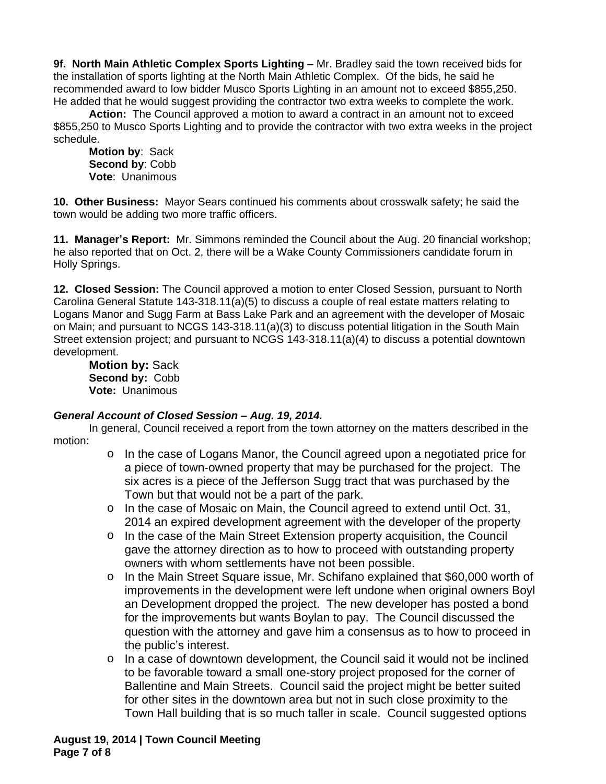**9f. North Main Athletic Complex Sports Lighting – Mr. Bradley said the town received bids for** the installation of sports lighting at the North Main Athletic Complex. Of the bids, he said he recommended award to low bidder Musco Sports Lighting in an amount not to exceed \$855,250. He added that he would suggest providing the contractor two extra weeks to complete the work.

**Action:** The Council approved a motion to award a contract in an amount not to exceed \$855,250 to Musco Sports Lighting and to provide the contractor with two extra weeks in the project schedule.

**Motion by**: Sack **Second by**: Cobb **Vote**: Unanimous

**10. Other Business:** Mayor Sears continued his comments about crosswalk safety; he said the town would be adding two more traffic officers.

**11. Manager's Report:** Mr. Simmons reminded the Council about the Aug. 20 financial workshop; he also reported that on Oct. 2, there will be a Wake County Commissioners candidate forum in Holly Springs.

**12. Closed Session:** The Council approved a motion to enter Closed Session, pursuant to North Carolina General Statute 143-318.11(a)(5) to discuss a couple of real estate matters relating to Logans Manor and Sugg Farm at Bass Lake Park and an agreement with the developer of Mosaic on Main; and pursuant to NCGS 143-318.11(a)(3) to discuss potential litigation in the South Main Street extension project; and pursuant to NCGS 143-318.11(a)(4) to discuss a potential downtown development.

**Motion by:** Sack **Second by:** Cobb **Vote:** Unanimous

# *General Account of Closed Session – Aug. 19, 2014.*

In general, Council received a report from the town attorney on the matters described in the motion:

- o In the case of Logans Manor, the Council agreed upon a negotiated price for a piece of town-owned property that may be purchased for the project. The six acres is a piece of the Jefferson Sugg tract that was purchased by the Town but that would not be a part of the park.
- o In the case of Mosaic on Main, the Council agreed to extend until Oct. 31, 2014 an expired development agreement with the developer of the property
- o In the case of the Main Street Extension property acquisition, the Council gave the attorney direction as to how to proceed with outstanding property owners with whom settlements have not been possible.
- o In the Main Street Square issue, Mr. Schifano explained that \$60,000 worth of improvements in the development were left undone when original owners Boyl an Development dropped the project. The new developer has posted a bond for the improvements but wants Boylan to pay. The Council discussed the question with the attorney and gave him a consensus as to how to proceed in the public's interest.
- o In a case of downtown development, the Council said it would not be inclined to be favorable toward a small one-story project proposed for the corner of Ballentine and Main Streets. Council said the project might be better suited for other sites in the downtown area but not in such close proximity to the Town Hall building that is so much taller in scale. Council suggested options